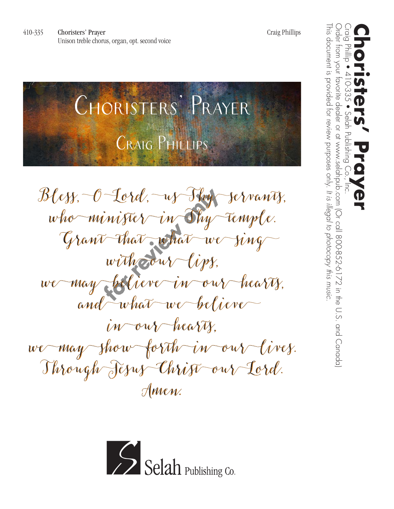Choristers' Prayer Music by Craig Phillips

**Bless, O Lord, us Thy servants,** Bless, O Lord, us Thy servants, who minister in Thy Temple. **Grant that what we sing**  Grant that what we sing with <del>o</del>ur lips. **we may believe in our hearts,** we may believe in our hearts, **and what we believe**  and what we believe **in our hearts,** in our hearts, **we may show forth in our lives.** we may show forth in our lives. **Through Jesus Christ our Lord.** Through Jesus Christ our Lord. **Amen.** Amen.